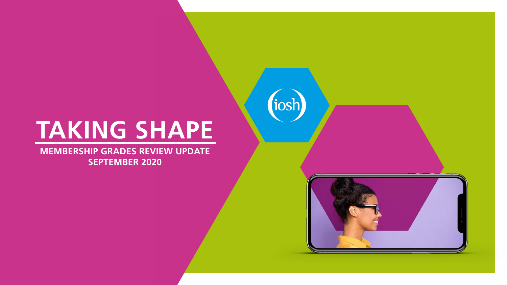**MEMBERSHIP GRADES REVIEW UPDATE SEPTEMBER 2020**





# **TAKING SHAPE**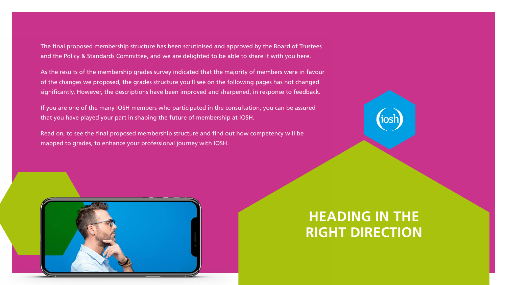The final proposed membership structure has been scrutinised and approved by the Board of Trustees and the Policy & Standards Committee, and we are delighted to be able to share it with you here.

As the results of the membership grades survey indicated that the majority of members were in favour of the changes we proposed, the grades structure you'll see on the following pages has not changed significantly. However, the descriptions have been improved and sharpened, in response to feedback.

If you are one of the many IOSH members who participated in the consultation, you can be assured that you have played your part in shaping the future of membership at IOSH.

Read on, to see the final proposed membership structure and find out how competency will be mapped to grades, to enhance your professional journey with IOSH.



### **HEADING IN THE RIGHT DIRECTION**

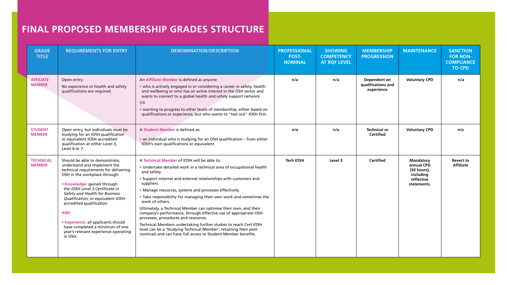| <b>GRADE</b><br><b>TITLE</b>      | <b>REQUIREMENTS FOR ENTRY</b>                                                                                                                                                                                                                                                                                                                                                                                                                             | <b>DENOMINATION/DESCRIPTION</b>                                                                                                                                                                                                                                                                                                                                                                                                                                                                                                                                                                                                                                                                                                                                   | <b>PROFESSIONAL</b><br><b>POST-</b><br><b>NOMINAL</b> | <b>SHOWING</b><br><b>COMPETENCY</b><br><b>AT RQF LEVEL</b> | <b>MEMBERSHIP</b><br><b>PROGRESSION</b>                 | <b>MAINTENANCE</b>                                                                      | <b>SANCTION</b><br><b>FOR NON-</b><br><b>COMPLIANCE</b><br><b>TO CPD</b> |
|-----------------------------------|-----------------------------------------------------------------------------------------------------------------------------------------------------------------------------------------------------------------------------------------------------------------------------------------------------------------------------------------------------------------------------------------------------------------------------------------------------------|-------------------------------------------------------------------------------------------------------------------------------------------------------------------------------------------------------------------------------------------------------------------------------------------------------------------------------------------------------------------------------------------------------------------------------------------------------------------------------------------------------------------------------------------------------------------------------------------------------------------------------------------------------------------------------------------------------------------------------------------------------------------|-------------------------------------------------------|------------------------------------------------------------|---------------------------------------------------------|-----------------------------------------------------------------------------------------|--------------------------------------------------------------------------|
| <b>AFFILIATE</b><br><b>MEMBER</b> | Open entry.<br>No experience or health and safety<br>qualifications are required.                                                                                                                                                                                                                                                                                                                                                                         | An Affiliate Member is defined as anyone:<br>• who is actively engaged in or considering a career in safety, health<br>and wellbeing or who has an active interest in the OSH sector and<br>wants to connect to a global health and safety support network<br>OR<br>• wanting to progress to other levels of membership, either based on<br>qualifications or experience, but who wants to "test out" IOSH first.                                                                                                                                                                                                                                                                                                                                                 | n/a                                                   | n/a                                                        | <b>Dependent on</b><br>qualifications and<br>experience | <b>Voluntary CPD</b>                                                                    | n/a                                                                      |
| <b>STUDENT</b><br><b>MEMBER</b>   | Open entry, but individuals must be<br>studying for an IOSH qualification<br>or equivalent IOSH-accredited<br>qualification at either Level 3,<br>Level 6 or 7.                                                                                                                                                                                                                                                                                           | A Student Member is defined as:<br>• an individual who is studying for an OSH qualification - from either<br>IOSH's own qualifications or equivalent.                                                                                                                                                                                                                                                                                                                                                                                                                                                                                                                                                                                                             | n/a                                                   | n/a                                                        | <b>Technical or</b><br><b>Certified</b>                 | <b>Voluntary CPD</b>                                                                    | n/a                                                                      |
| <b>TECHNICAL</b><br><b>MEMBER</b> | Should be able to demonstrate,<br>understand and implement the<br>technical requirements for delivering<br>OSH in the workplace through:<br>• Knowledge: gained through<br>the IOSH Level 3 Certificate in<br>Safety and Health for Business<br>Qualification, or equivalent IOSH-<br>accredited qualification<br><b>AND</b><br>• Experience: all applicants should<br>have completed a minimum of one<br>year's relevant experience operating<br>in OSH. | A Technical Member of IOSH will be able to:<br>• Undertake detailed work in a technical area of occupational health<br>and safety.<br>• Support internal and external relationships with customers and<br>suppliers.<br>• Manage resources, systems and processes effectively.<br>• Take responsibility for managing their own work and sometimes the<br>work of others.<br>Ultimately, a Technical Member can optimise their own, and their<br>company's performance, through effective use of appropriate OSH<br>processes, procedures and resources.<br>Technical Members undertaking further studies to reach Cert IOSH<br>level can be a 'Studying Technical Member', retaining their post-<br>nominals and can have full access to Student Member benefits. | <b>Tech IOSH</b>                                      | Level 3                                                    | <b>Certified</b>                                        | <b>Mandatory</b><br>annual CPD<br>(30 hours),<br>including<br>reflective<br>statements. | <b>Revert to</b><br><b>Affiliate</b>                                     |

### **FINAL PROPOSED MEMBERSHIP GRADES STRUCTURE**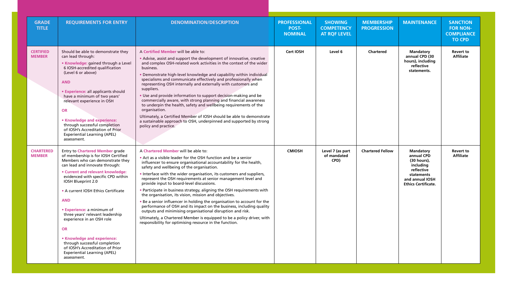| <b>GRADE</b><br><b>TITLE</b>      | <b>REQUIREMENTS FOR ENTRY</b>                                                                                                                                                                                                                                                                                                                                                                                                                                                                                                                                                   | <b>DENOMINATION/DESCRIPTION</b>                                                                                                                                                                                                                                                                                                                                                                                                                                                                                                                                                                                                                                                                                                                                                                                                                                                                          | <b>PROFESSIONAL</b><br><b>POST-</b><br><b>NOMINAL</b> | <b>SHOWING</b><br><b>COMPETENCY</b><br><b>AT RQF LEVEL</b> | <b>MEMBERSHIP</b><br><b>PROGRESSION</b> | <b>MAINTENANCE</b>                                                                                                                      | <b>SANCTION</b><br><b>FOR NON-</b><br><b>COMPLIANCE</b><br><b>TO CPD</b> |
|-----------------------------------|---------------------------------------------------------------------------------------------------------------------------------------------------------------------------------------------------------------------------------------------------------------------------------------------------------------------------------------------------------------------------------------------------------------------------------------------------------------------------------------------------------------------------------------------------------------------------------|----------------------------------------------------------------------------------------------------------------------------------------------------------------------------------------------------------------------------------------------------------------------------------------------------------------------------------------------------------------------------------------------------------------------------------------------------------------------------------------------------------------------------------------------------------------------------------------------------------------------------------------------------------------------------------------------------------------------------------------------------------------------------------------------------------------------------------------------------------------------------------------------------------|-------------------------------------------------------|------------------------------------------------------------|-----------------------------------------|-----------------------------------------------------------------------------------------------------------------------------------------|--------------------------------------------------------------------------|
| <b>CERTIFIED</b><br><b>MEMBER</b> | Should be able to demonstrate they<br>can lead through:<br>• Knowledge: gained through a Level<br>6 IOSH-accredited qualification<br>(Level 6 or above)<br><b>AND</b><br>• Experience: all applicants should<br>have a minimum of two years'<br>relevant experience in OSH<br><b>OR</b><br>• Knowledge and experience:<br>through successful completion<br>of IOSH's Accreditation of Prior<br><b>Experiential Learning (APEL)</b><br>assessment.                                                                                                                               | A Certified Member will be able to:<br>• Advise, assist and support the development of innovative, creative<br>and complex OSH-related work activities in the context of the wider<br>business.<br>Demonstrate high-level knowledge and capability within individual<br>specialisms and communicate effectively and professionally when<br>representing OSH internally and externally with customers and<br>suppliers.<br>. Use and provide information to support decision-making and be<br>commercially aware, with strong planning and financial awareness<br>to underpin the health, safety and wellbeing requirements of the<br>organisation.<br>Ultimately, a Certified Member of IOSH should be able to demonstrate<br>a sustainable approach to OSH, underpinned and supported by strong<br>policy and practice.                                                                                 | <b>Cert IOSH</b>                                      | Level 6                                                    | <b>Chartered</b>                        | <b>Mandatory</b><br>annual CPD (30<br>hours), including<br>reflective<br>statements.                                                    | <b>Revert to</b><br><b>Affiliate</b>                                     |
| <b>CHARTERED</b><br><b>MEMBER</b> | <b>Entry to Chartered Member grade</b><br>of membership is for IOSH Certified<br>Members who can demonstrate they<br>can lead and innovate through:<br>• Current and relevant knowledge:<br>evidenced with specific CPD within<br>IOSH Blueprint 2.0<br>• A current IOSH Ethics Certificate<br><b>AND</b><br>• Experience: a minimum of<br>three years' relevant leadership<br>experience in an OSH role<br><b>OR</b><br>• Knowledge and experience:<br>through successful completion<br>of IOSH's Accreditation of Prior<br><b>Experiential Learning (APEL)</b><br>assessment. | A Chartered Member will be able to:<br>• Act as a visible leader for the OSH function and be a senior<br>influencer to ensure organisational accountability for the health,<br>safety and wellbeing of the organisation.<br>. Interface with the wider organisation, its customers and suppliers,<br>represent the OSH requirements at senior management level and<br>provide input to board-level discussions.<br>• Participate in business strategy, aligning the OSH requirements with<br>the organisation, its vision, mission and objectives.<br>. Be a senior influencer in holding the organisation to account for the<br>performance of OSH and its impact on the business, including quality<br>outputs and minimising organisational disruption and risk.<br>Ultimately, a Chartered Member is equipped to be a policy driver, with<br>responsibility for optimising resource in the function. | <b>CMIOSH</b>                                         | Level 7 (as part<br>of mandated<br>CPD)                    | <b>Chartered Fellow</b>                 | <b>Mandatory</b><br>annual CPD<br>(30 hours),<br>including<br>reflective<br>statements<br>and annual IOSH<br><b>Ethics Certificate.</b> | <b>Revert to</b><br><b>Affiliate</b>                                     |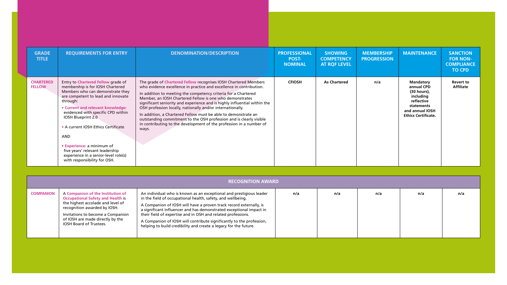| <b>GRADE</b><br><b>TITLE</b>      | <b>REQUIREMENTS FOR ENTRY</b>                                                                                                                                                                                                                                                                                                                                                                                                                               | <b>DENOMINATION/DESCRIPTION</b>                                                                                                                                                                                                                                                                                                                                                                                                                                                                                                                                                                                                          | <b>PROFESSIONAL</b><br><b>POST-</b><br><b>NOMINAL</b> | <b>SHOWING</b><br><b>COMPETENCY</b><br><b>AT ROF LEVEL</b> | <b>MEMBERSHIP</b><br><b>PROGRESSION</b> | <b>MAINTENANCE</b>                                                                                                                         | <b>SANCTION</b><br><b>FOR NON-</b><br><b>COMPLIANCE</b><br><b>TO CPD</b> |
|-----------------------------------|-------------------------------------------------------------------------------------------------------------------------------------------------------------------------------------------------------------------------------------------------------------------------------------------------------------------------------------------------------------------------------------------------------------------------------------------------------------|------------------------------------------------------------------------------------------------------------------------------------------------------------------------------------------------------------------------------------------------------------------------------------------------------------------------------------------------------------------------------------------------------------------------------------------------------------------------------------------------------------------------------------------------------------------------------------------------------------------------------------------|-------------------------------------------------------|------------------------------------------------------------|-----------------------------------------|--------------------------------------------------------------------------------------------------------------------------------------------|--------------------------------------------------------------------------|
| <b>CHARTERED</b><br><b>FELLOW</b> | Entry to Chartered Fellow grade of<br>membership is for IOSH Chartered<br>Members who can demonstrate they<br>are competent to lead and innovate<br>through:<br>• Current and relevant knowledge:<br>evidenced with specific CPD within<br>IOSH Blueprint 2.0<br>• A current IOSH Ethics Certificate<br><b>AND</b><br>• Experience: a minimum of<br>five years' relevant leadership<br>experience in a senior-level role(s)<br>with responsibility for OSH. | The grade of Chartered Fellow recognises IOSH Chartered Members<br>who evidence excellence in practice and excellence in contribution.<br>In addition to meeting the competency criteria for a Chartered<br>Member, an IOSH Chartered Fellow is one who demonstrates<br>significant seniority and experience and is highly influential within the<br>OSH profession locally, nationally and/or internationally.<br>In addition, a Chartered Fellow must be able to demonstrate an<br>outstanding commitment to the OSH profession and is clearly visible<br>in contributing to the development of the profession in a number of<br>ways. | <b>CFIOSH</b>                                         | <b>As Chartered</b>                                        | n/a                                     | <b>Mandatory</b><br>annual CPD<br>$(30 hours)$ ,<br>including<br>reflective<br>statements<br>and annual IOSH<br><b>Ethics Certificate.</b> | <b>Revert to</b><br><b>Affiliate</b>                                     |

|  | <b>RECOGNITION AWARD</b> |
|--|--------------------------|
|  |                          |
|  |                          |

| <b>RECOGNITION AWARD</b> |                                                                                                                                                                                                                                                        |                                                                                                                                                                                                                                                                                                                                                                                                                                                                                             |     |     |     |     |     |  |  |  |
|--------------------------|--------------------------------------------------------------------------------------------------------------------------------------------------------------------------------------------------------------------------------------------------------|---------------------------------------------------------------------------------------------------------------------------------------------------------------------------------------------------------------------------------------------------------------------------------------------------------------------------------------------------------------------------------------------------------------------------------------------------------------------------------------------|-----|-----|-----|-----|-----|--|--|--|
| <b>COMPANION</b>         | A Companion of the Institution of<br><b>Occupational Safety and Health is</b><br>the highest accolade and level of<br>recognition awarded by IOSH.<br>Invitations to become a Companion<br>of IOSH are made directly by the<br>IOSH Board of Trustees. | An individual who is known as an exceptional and prestigious leader<br>in the field of occupational health, safety, and wellbeing.<br>A Companion of IOSH will have a proven track record externally, is<br>a significant influencer and has demonstrated exceptional impact in<br>their field of expertise and in OSH and related professions.<br>A Companion of IOSH will contribute significantly to the profession,<br>helping to build credibility and create a legacy for the future. | n/a | n/a | n/a | n/a | n/a |  |  |  |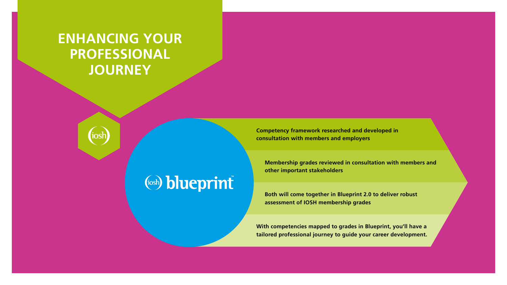**Competency framework researched and developed in consultation with members and employers**

**Membership grades reviewed in consultation with members and other important stakeholders**

**Both will come together in Blueprint 2.0 to deliver robust assessment of IOSH membership grades**

**With competencies mapped to grades in Blueprint, you'll have a tailored professional journey to guide your career development.**

### **ENHANCING YOUR PROFESSIONAL JOURNEY**



## (iosh) blueprint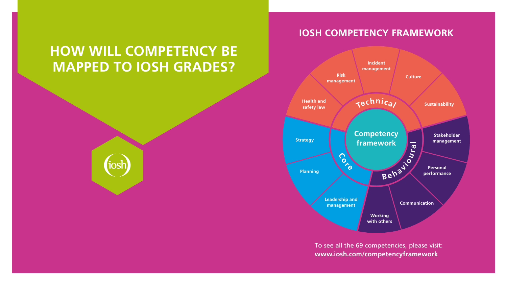### **HOW WILL COMPETENCY BE MAPPED TO IOSH GRADES?**



**C o r e**

**Health and safety law**

**Risk management**



**Leadership and management**

**Planning**

**Strategy**

### **IOSH COMPETENCY FRAMEWORK**

To see all the 69 competencies, please visit: **[www.iosh.com/competencyframework](http://www.iosh.com/competencyframework)**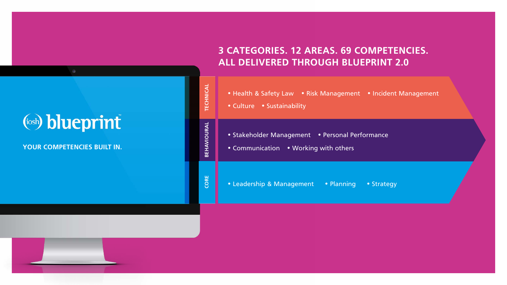#### **YOUR COMPETENCIES BUILT IN.**

### **3 CATEGORIES. 12 AREAS. 69 COMPETENCIES. ALL DELIVERED THROUGH BLUEPRINT 2.0**

|  | (iosh) blueprint |
|--|------------------|
|  |                  |
|  |                  |

| TECHNICAL   | • Health & Safety Law • Risk Management<br>• Culture • Sustainability                  |
|-------------|----------------------------------------------------------------------------------------|
| BEHAVIOURAL | • Personal Per<br>• Stakeholder Management<br>• Communication<br>• Working with others |
| CORE        | • Planning<br>• Leadership & Management                                                |

• Incident Management

rformance

• Strategy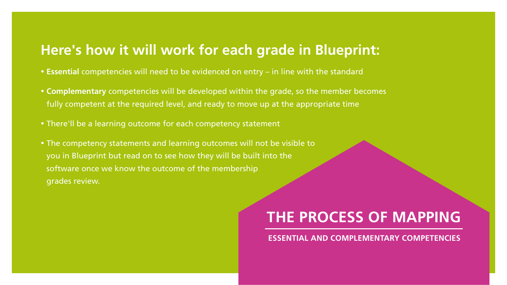### **Here's how it will work for each grade in Blueprint:**

- **Essential** competencies will need to be evidenced on entry in line with the standard
- **Complementary** competencies will be developed within the grade, so the member becomes fully competent at the required level, and ready to move up at the appropriate time
- There'll be a learning outcome for each competency statement
- The competency statements and learning outcomes will not be visible to you in Blueprint but read on to see how they will be built into the software once we know the outcome of the membership grades review.

## **THE PROCESS OF MAPPING**

### **ESSENTIAL AND COMPLEMENTARY COMPETENCIES**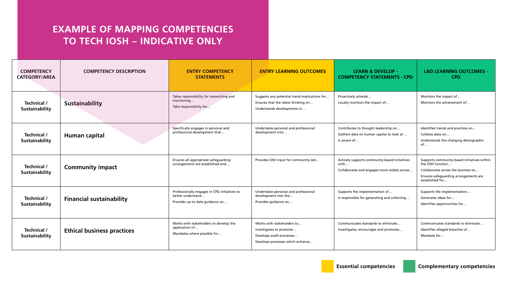| <b>COMPETENCY DESCRIPTION</b> | <b>STATEMENTS</b> |                                                                                                                                                                                                                                                                                                                                                                                                                                                                                                          | <b>LEARN &amp; DEVELOP -</b><br><b>COMPETENCY STATEMENTS - CPD</b>                                    | <b>L&amp;D LEARNING OUTCOMES -</b><br><b>CPD</b>                                                                                                                   |
|-------------------------------|-------------------|----------------------------------------------------------------------------------------------------------------------------------------------------------------------------------------------------------------------------------------------------------------------------------------------------------------------------------------------------------------------------------------------------------------------------------------------------------------------------------------------------------|-------------------------------------------------------------------------------------------------------|--------------------------------------------------------------------------------------------------------------------------------------------------------------------|
|                               |                   | Ensures that the latest thinking on<br>Understands developments in                                                                                                                                                                                                                                                                                                                                                                                                                                       | Proactively attends<br>Locally monitors the impact of                                                 | Monitors the impact of<br>Monitors the achievement of                                                                                                              |
|                               |                   | Undertakes personal and professional<br>development into                                                                                                                                                                                                                                                                                                                                                                                                                                                 | Contributes to thought leadership on<br>Gathers data on human capital to look at.<br>Is aware of      | Identifies trends and practices on<br>Collates data on<br>Understands the changing demographic                                                                     |
|                               |                   | Provides OSH input for community led                                                                                                                                                                                                                                                                                                                                                                                                                                                                     | Actively supports community-based initiatives<br>with<br>Collaborates and engages more widely across. | Supports community-based initiatives within<br>the OSH function<br>Collaborates across the business to<br>Ensures safeguarding arrangements are<br>established for |
|                               |                   | Undertakes personal and professional<br>development into the<br>Provides guidance on                                                                                                                                                                                                                                                                                                                                                                                                                     | Supports the implementation of<br>Is responsible for generating and collecting.                       | Supports the implementation.<br>Generates ideas for<br>Identifies opportunities for                                                                                |
|                               |                   | Works with stakeholders to<br>Investigates to promote<br>Develops audit processes.<br>Develops processes which enhance                                                                                                                                                                                                                                                                                                                                                                                   | Communicates standards to eliminate<br>Investigates, encourages and promotes                          | Communicates standards to eliminate<br>Identifies alleged breaches of<br>Mandate for                                                                               |
|                               |                   | <b>EXAMPLE OF MAPPING COMPETENCIES</b><br><b>TO TECH IOSH - INDICATIVE ONLY</b><br><b>ENTRY COMPETENCY</b><br>Takes responsibility for researching and<br>monitoring<br>Take responsibility for.<br>Specifically engages in personal and<br>professional development that<br>Ensures all appropriate safeguarding<br>arrangements are established and<br>better understand<br>Provides up to date guidance on<br>Works with stakeholders to develop the<br>application of<br>Mandates where possible for | Professionally engages in CPD initiatives to                                                          | <b>ENTRY LEARNING OUTCOMES</b><br>Suggests any potential trend implications for                                                                                    |

# **EXAMPLE OF MAPPING COMPETENCIES**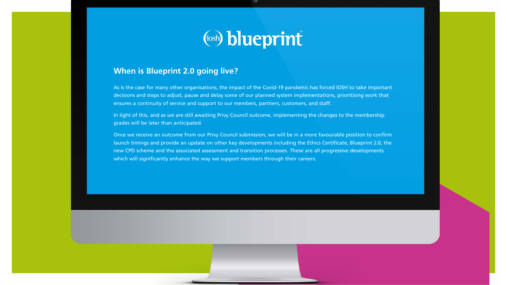

#### **When is Blueprint 2.0 going live?**

As is the case for many other organisations, the impact of the Covid-19 pandemic has forced IOSH to take important decisions and steps to adjust, pause and delay some of our planned system implementations, prioritising work that ensures a continuity of service and support to our members, partners, customers, and staff.

In light of this, and as we are still awaiting Privy Council outcome, implementing the changes to the membership grades will be later than anticipated.

Once we receive an outcome from our Privy Council submission, we will be in a more favourable position to confirm launch timings and provide an update on other key developments including the Ethics Certificate, Blueprint 2.0, the new CPD scheme and the associated assessment and transition processes. These are all progressive developments which will significantly enhance the way we support members through their careers.